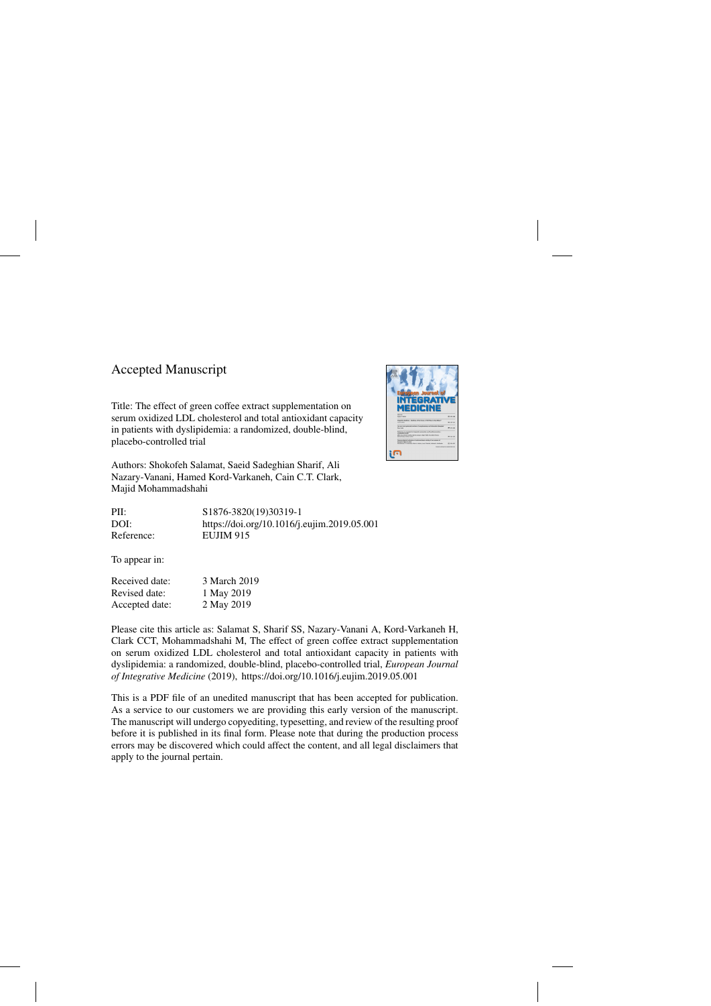## Accepted Manuscript

Title: The effect of green coffee extract supplementation on serum oxidized LDL cholesterol and total antioxidant capacity in patients with dyslipidemia: a randomized, double-blind, placebo-controlled trial

Authors: Shokofeh Salamat, Saeid Sadeghian Sharif, Ali Nazary-Vanani, Hamed Kord-Varkaneh, Cain C.T. Clark, Majid Mohammadshahi

| PII:       | \$1876-3820(19)30319-1                      |
|------------|---------------------------------------------|
| DOI:       | https://doi.org/10.1016/j.eujim.2019.05.001 |
| Reference: | EUJIM 915                                   |

To appear in:

| Received date: | 3 March 2019 |
|----------------|--------------|
| Revised date:  | 1 May 2019   |
| Accepted date: | 2 May 2019   |

Please cite this article as: Salamat S, Sharif SS, Nazary-Vanani A, Kord-Varkaneh H, Clark CCT, Mohammadshahi M, The effect of green coffee extract supplementation on serum oxidized LDL cholesterol and total antioxidant capacity in patients with dyslipidemia: a randomized, double-blind, placebo-controlled trial, *European Journal of Integrative Medicine* (2019),<https://doi.org/10.1016/j.eujim.2019.05.001>

This is a PDF file of an unedited manuscript that has been accepted for publication. As a service to our customers we are providing this early version of the manuscript. The manuscript will undergo copyediting, typesetting, and review of the resulting proof before it is published in its final form. Please note that during the production process errors may be discovered which could affect the content, and all legal disclaimers that apply to the journal pertain.

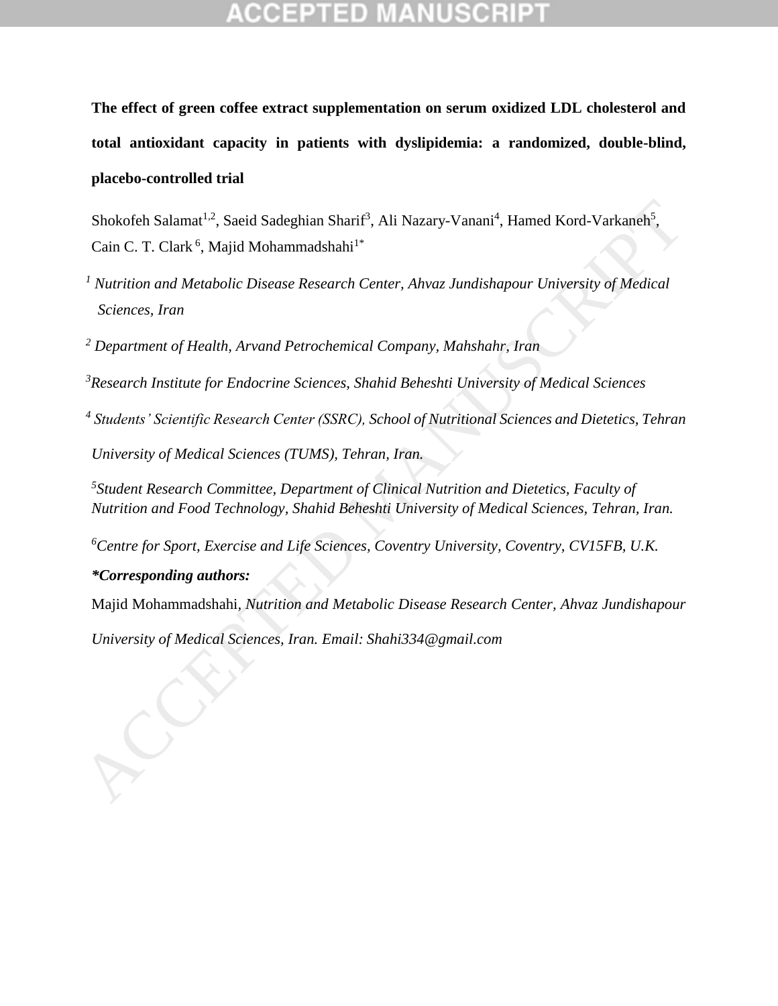**The effect of green coffee extract supplementation on serum oxidized LDL cholesterol and total antioxidant capacity in patients with dyslipidemia: a randomized, double-blind, placebo-controlled trial**

Shokofeh Salamat<sup>1,2</sup>, Saeid Sadeghian Sharif<sup>3</sup>, Ali Nazary-Vanani<sup>4</sup>, Hamed Kord-Varkaneh<sup>5</sup>, Cain C. T. Clark<sup>6</sup>, Majid Mohammadshahi<sup>1\*</sup>

*<sup>1</sup> Nutrition and Metabolic Disease Research Center, Ahvaz Jundishapour University of Medical Sciences, Iran*

*<sup>2</sup> Department of Health, Arvand Petrochemical Company, Mahshahr, Iran*

*<sup>3</sup>Research Institute for Endocrine Sciences, Shahid Beheshti University of Medical Sciences*

*4 Students' Scientific Research Center (SSRC), School of Nutritional Sciences and Dietetics, Tehran University of Medical Sciences (TUMS), Tehran, Iran.*

*5 Student Research Committee, Department of Clinical Nutrition and Dietetics, Faculty of Nutrition and Food Technology, Shahid Beheshti University of Medical Sciences, Tehran, Iran.*

*<sup>6</sup>Centre for Sport, Exercise and Life Sciences, Coventry University, Coventry, CV15FB, U.K.*

*\*Corresponding authors:*

Majid Mohammadshahi*, Nutrition and Metabolic Disease Research Center, Ahvaz Jundishapour*  Shokofeh Salamat<sup>12</sup>, Saeid Sadeghian Sharif<sup>2</sup>, Ali Nazary-Vanani<sup>4</sup>, Hamed Kord-Varkaneh<sup>2</sup>,<br>Cain C. T. Clark<sup>6</sup>, Majid Mohammadshahi<sup>1</sup><br><sup>1</sup> Nutrition and Metabolic Disease Research Center, Ahvaz Jundishapour University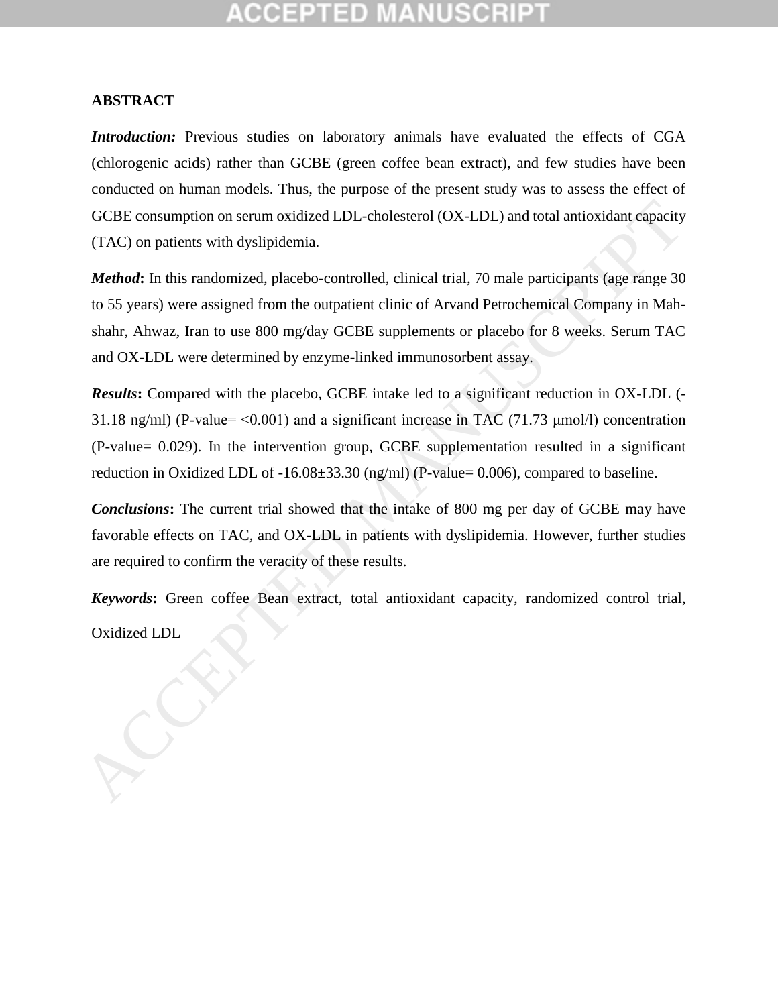### **ABSTRACT**

*Introduction:* Previous studies on laboratory animals have evaluated the effects of CGA (chlorogenic acids) rather than GCBE (green coffee bean extract), and few studies have been conducted on human models. Thus, the purpose of the present study was to assess the effect of GCBE consumption on serum oxidized LDL-cholesterol (OX-LDL) and total antioxidant capacity (TAC) on patients with dyslipidemia.

*Method*: In this randomized, placebo-controlled, clinical trial, 70 male participants (age range 30) to 55 years) were assigned from the outpatient clinic of Arvand Petrochemical Company in Mahshahr, Ahwaz, Iran to use 800 mg/day GCBE supplements or placebo for 8 weeks. Serum TAC and OX-LDL were determined by enzyme-linked immunosorbent assay. GCBE consumption on serum oxidized LDL-cholesterol (OX-LDL) and total antioxidant capacity (TAC) on patients with dyslipidemia.<br> *Method*: In this randomized, placebo-controlled, clinical trial, 70 male participants (age

*Results***:** Compared with the placebo, GCBE intake led to a significant reduction in OX-LDL (- 31.18 ng/ml) (P-value=  $\leq 0.001$ ) and a significant increase in TAC (71.73  $\mu$ mol/l) concentration (P-value= 0.029). In the intervention group, GCBE supplementation resulted in a significant reduction in Oxidized LDL of -16.08±33.30 (ng/ml) (P-value= 0.006), compared to baseline.

*Conclusions***:** The current trial showed that the intake of 800 mg per day of GCBE may have favorable effects on TAC, and OX-LDL in patients with dyslipidemia. However, further studies are required to confirm the veracity of these results.

*Keywords***:** Green coffee Bean extract, total antioxidant capacity, randomized control trial,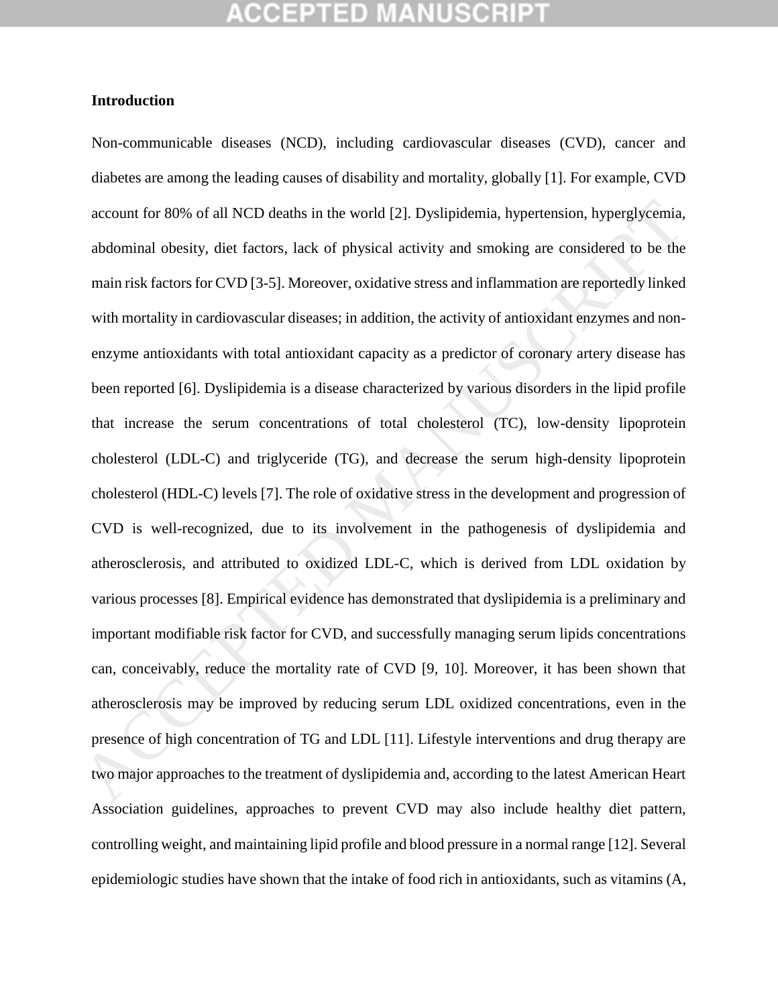## GEPTED

#### **Introduction**

Non-communicable diseases (NCD), including cardiovascular diseases (CVD), cancer and diabetes are among the leading causes of disability and mortality, globally [1]. For example, CVD account for 80% of all NCD deaths in the world [2]. Dyslipidemia, hypertension, hyperglycemia, abdominal obesity, diet factors, lack of physical activity and smoking are considered to be the main risk factors for CVD [3-5]. Moreover, oxidative stress and inflammation are reportedly linked with mortality in cardiovascular diseases; in addition, the activity of antioxidant enzymes and nonenzyme antioxidants with total antioxidant capacity as a predictor of coronary artery disease has been reported [6]. Dyslipidemia is a disease characterized by various disorders in the lipid profile that increase the serum concentrations of total cholesterol (TC), low-density lipoprotein cholesterol (LDL-C) and triglyceride (TG), and decrease the serum high-density lipoprotein cholesterol (HDL-C) levels [7]. The role of oxidative stress in the development and progression of CVD is well-recognized, due to its involvement in the pathogenesis of dyslipidemia and atherosclerosis, and attributed to oxidized LDL-C, which is derived from LDL oxidation by various processes [8]. Empirical evidence has demonstrated that dyslipidemia is a preliminary and important modifiable risk factor for CVD, and successfully managing serum lipids concentrations can, conceivably, reduce the mortality rate of CVD [9, 10]. Moreover, it has been shown that atherosclerosis may be improved by reducing serum LDL oxidized concentrations, even in the presence of high concentration of TG and LDL [11]. Lifestyle interventions and drug therapy are two major approaches to the treatment of dyslipidemia and, according to the latest American Heart Association guidelines, approaches to prevent CVD may also include healthy diet pattern, controlling weight, and maintaining lipid profile and blood pressure in a normal range [12]. Several epidemiologic studies have shown that the intake of food rich in antioxidants, such as vitamins (A, account for 80% of all NCD deaths in the world [2]. Dyslipidemia, hypertension, hyperglycemia,<br>abdominal obesity, diet factors, lack of physical activity and smoking are considered to be the<br>main risk factors for CVD [3-5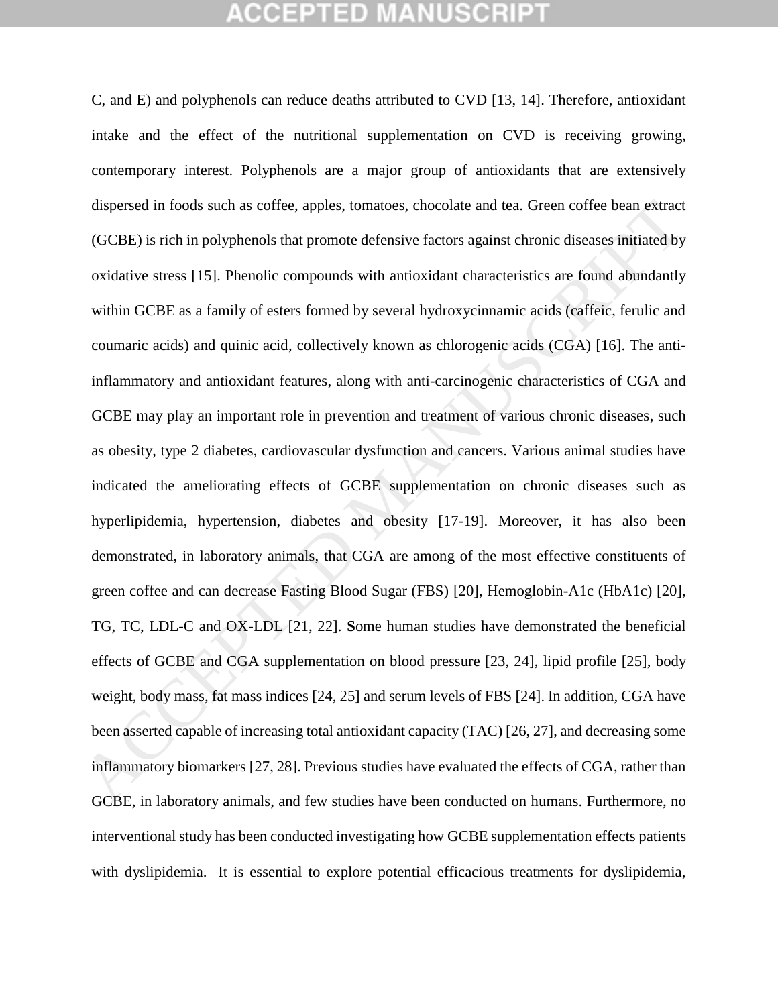## CEPTED

C, and E) and polyphenols can reduce deaths attributed to CVD [13, 14]. Therefore, antioxidant intake and the effect of the nutritional supplementation on CVD is receiving growing, contemporary interest. Polyphenols are a major group of antioxidants that are extensively dispersed in foods such as coffee, apples, tomatoes, chocolate and tea. Green coffee bean extract (GCBE) is rich in polyphenols that promote defensive factors against chronic diseases initiated by oxidative stress [15]. Phenolic compounds with antioxidant characteristics are found abundantly within GCBE as a family of esters formed by several hydroxycinnamic acids (caffeic, ferulic and coumaric acids) and quinic acid, collectively known as chlorogenic acids (CGA) [16]. The antiinflammatory and antioxidant features, along with anti-carcinogenic characteristics of CGA and GCBE may play an important role in prevention and treatment of various chronic diseases, such as obesity, type 2 diabetes, cardiovascular dysfunction and cancers. Various animal studies have indicated the ameliorating effects of GCBE supplementation on chronic diseases such as hyperlipidemia, hypertension, diabetes and obesity [17-19]. Moreover, it has also been demonstrated, in laboratory animals, that CGA are among of the most effective constituents of green coffee and can decrease Fasting Blood Sugar (FBS) [20], Hemoglobin-A1c (HbA1c) [20], TG, TC, LDL-C and OX-LDL [21, 22]. **S**ome human studies have demonstrated the beneficial effects of GCBE and CGA supplementation on blood pressure [23, 24], lipid profile [25], body weight, body mass, fat mass indices [24, 25] and serum levels of FBS [24]. In addition, CGA have been asserted capable of increasing total antioxidant capacity (TAC) [26, 27], and decreasing some inflammatory biomarkers [27, 28]. Previous studies have evaluated the effects of CGA, rather than GCBE, in laboratory animals, and few studies have been conducted on humans. Furthermore, no interventional study has been conducted investigating how GCBE supplementation effects patients with dyslipidemia. It is essential to explore potential efficacious treatments for dyslipidemia, dispersed in foods such as coffee, apples, tomatoes, chocolate and tea. Green coffee bean extract<br>(GCBE) is rich in polyphenols that promote defensive factors against chronic diseases initiated by<br>oxidative stress [15]. Ph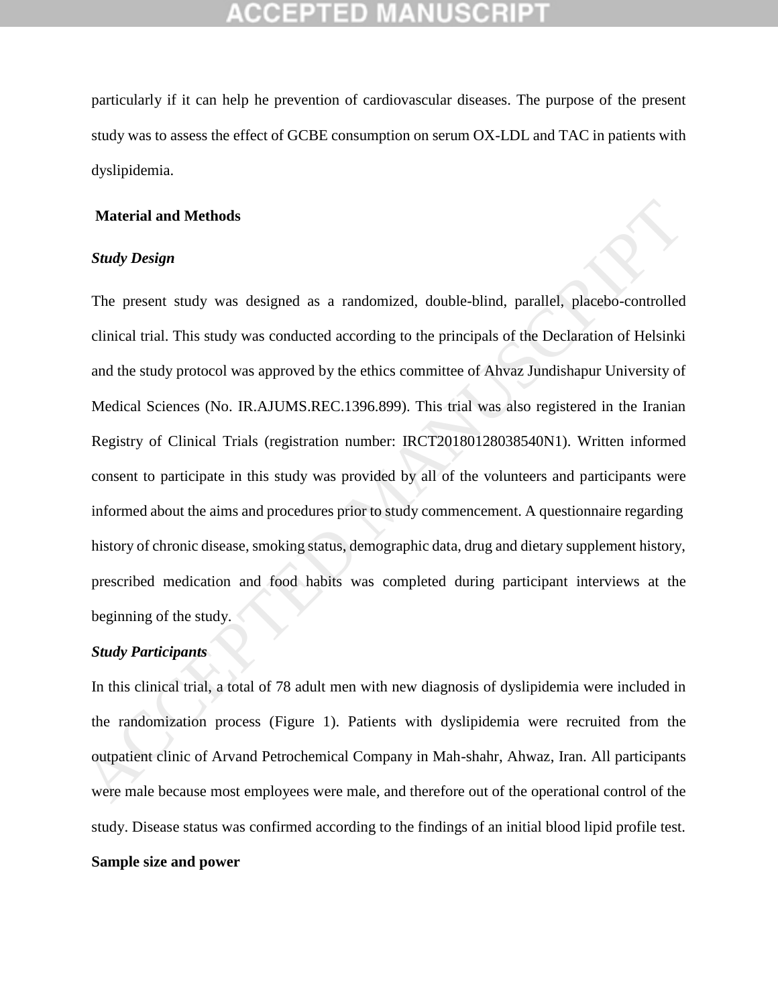particularly if it can help he prevention of cardiovascular diseases. The purpose of the present study was to assess the effect of GCBE consumption on serum OX-LDL and TAC in patients with dyslipidemia.

#### **Material and Methods**

## *Study Design*

The present study was designed as a randomized, double-blind, parallel, placebo-controlled clinical trial. This study was conducted according to the principals of the Declaration of Helsinki and the study protocol was approved by the ethics committee of Ahvaz Jundishapur University of Medical Sciences (No. IR.AJUMS.REC.1396.899). This trial was also registered in the Iranian Registry of Clinical Trials (registration number: IRCT20180128038540N1). Written informed consent to participate in this study was provided by all of the volunteers and participants were informed about the aims and procedures prior to study commencement. A questionnaire regarding history of chronic disease, smoking status, demographic data, drug and dietary supplement history, prescribed medication and food habits was completed during participant interviews at the beginning of the study. **Material and Methods**<br> **Study Design**<br> **The present study was designed as a randomized.** double-blind, parallel, placebo-controlled<br>
clinical trial. This study was conducted according to the principals of the Declaration

### *Study Participants*

In this clinical trial, a total of 78 adult men with new diagnosis of dyslipidemia were included in the randomization process (Figure 1). Patients with dyslipidemia were recruited from the outpatient clinic of Arvand Petrochemical Company in Mah-shahr, Ahwaz, Iran. All participants were male because most employees were male, and therefore out of the operational control of the study. Disease status was confirmed according to the findings of an initial blood lipid profile test.

### **Sample size and power**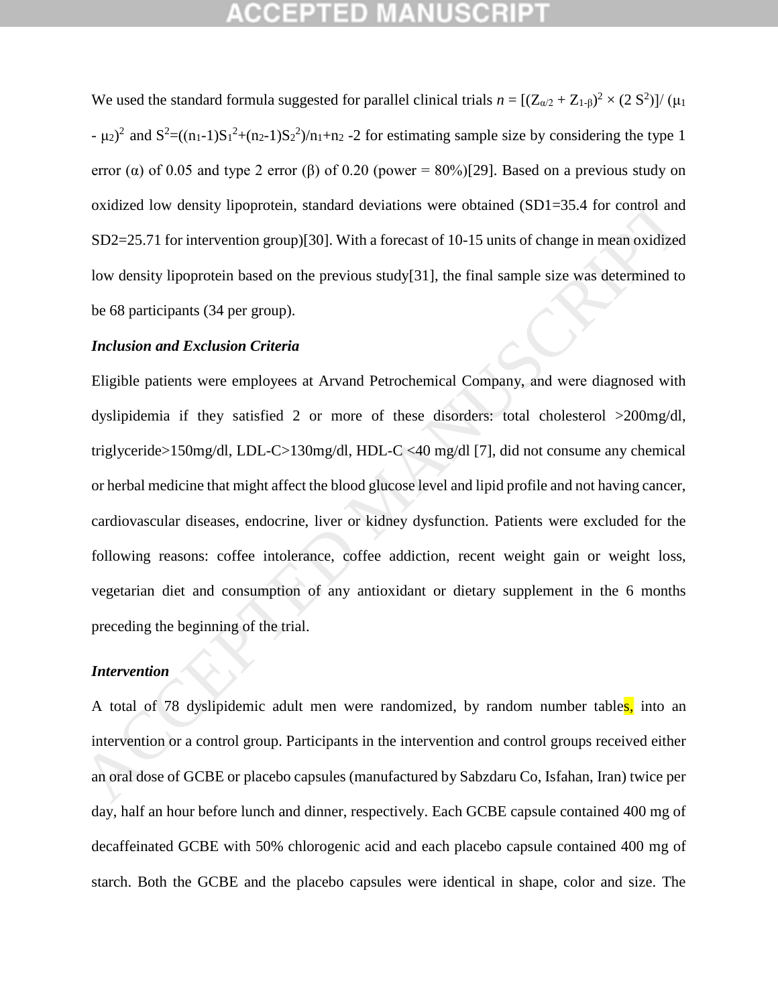We used the standard formula suggested for parallel clinical trials  $n = [(Z_{\alpha/2} + Z_{1-\beta})^2 \times (2 \text{ S}^2)]/(\mu_1$  $- \mu_2$ <sup>2</sup> and  $S^2 = ((n_1-1)S_1^2 + (n_2-1)S_2^2)/n_1 + n_2 - 2$  for estimating sample size by considering the type 1 error ( $\alpha$ ) of 0.05 and type 2 error ( $\beta$ ) of 0.20 (power = 80%)[29]. Based on a previous study on oxidized low density lipoprotein, standard deviations were obtained (SD1=35.4 for control and SD2=25.71 for intervention group)[30]. With a forecast of 10-15 units of change in mean oxidized low density lipoprotein based on the previous study[31], the final sample size was determined to be 68 participants (34 per group).

#### *Inclusion and Exclusion Criteria*

Eligible patients were employees at Arvand Petrochemical Company, and were diagnosed with dyslipidemia if they satisfied 2 or more of these disorders: total cholesterol >200mg/dl, triglyceride>150mg/dl, LDL-C>130mg/dl, HDL-C <40 mg/dl [7], did not consume any chemical or herbal medicine that might affect the blood glucose level and lipid profile and not having cancer, cardiovascular diseases, endocrine, liver or kidney dysfunction. Patients were excluded for the following reasons: coffee intolerance, coffee addiction, recent weight gain or weight loss, vegetarian diet and consumption of any antioxidant or dietary supplement in the 6 months preceding the beginning of the trial. oxidized low density lipoprotein, standard deviations were obtained (SD1=35.4 for control and<br>SD2 -25.71 for intervention group)[30]. With a forceast of 10-15 units of change in mean oxidized<br>low density lipoprotein based

### *Intervention*

A total of 78 dyslipidemic adult men were randomized, by random number tables, into an intervention or a control group. Participants in the intervention and control groups received either an oral dose of GCBE or placebo capsules (manufactured by Sabzdaru Co, Isfahan, Iran) twice per day, half an hour before lunch and dinner, respectively. Each GCBE capsule contained 400 mg of decaffeinated GCBE with 50% chlorogenic acid and each placebo capsule contained 400 mg of starch. Both the GCBE and the placebo capsules were identical in shape, color and size. The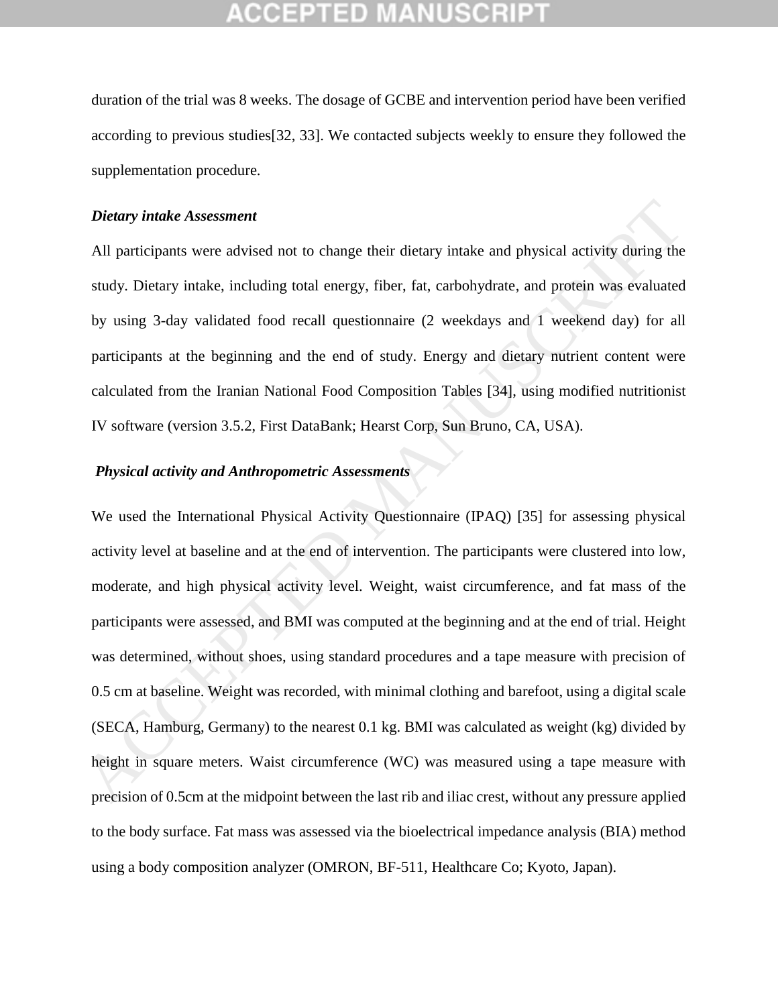duration of the trial was 8 weeks. The dosage of GCBE and intervention period have been verified according to previous studies[32, 33]. We contacted subjects weekly to ensure they followed the supplementation procedure.

#### *Dietary intake Assessment*

All participants were advised not to change their dietary intake and physical activity during the study. Dietary intake, including total energy, fiber, fat, carbohydrate, and protein was evaluated by using 3-day validated food recall questionnaire (2 weekdays and 1 weekend day) for all participants at the beginning and the end of study. Energy and dietary nutrient content were calculated from the Iranian National Food Composition Tables [34], using modified nutritionist IV software (version 3.5.2, First DataBank; Hearst Corp, Sun Bruno, CA, USA).

## *Physical activity and Anthropometric Assessments*

We used the International Physical Activity Questionnaire (IPAQ) [35] for assessing physical activity level at baseline and at the end of intervention. The participants were clustered into low, moderate, and high physical activity level. Weight, waist circumference, and fat mass of the participants were assessed, and BMI was computed at the beginning and at the end of trial. Height was determined, without shoes, using standard procedures and a tape measure with precision of 0.5 cm at baseline. Weight was recorded, with minimal clothing and barefoot, using a digital scale (SECA, Hamburg, Germany) to the nearest 0.1 kg. BMI was calculated as weight (kg) divided by height in square meters. Waist circumference (WC) was measured using a tape measure with precision of 0.5cm at the midpoint between the last rib and iliac crest, without any pressure applied to the body surface. Fat mass was assessed via the bioelectrical impedance analysis (BIA) method using a body composition analyzer (OMRON, BF-511, Healthcare Co; Kyoto, Japan). Dietary intake Assessment<br>All participants were advised not to change their dietary intake and physical activity during the<br>study. Dietary intake, including total energy, fiber, fat, carbohydrate, and protein was evaluate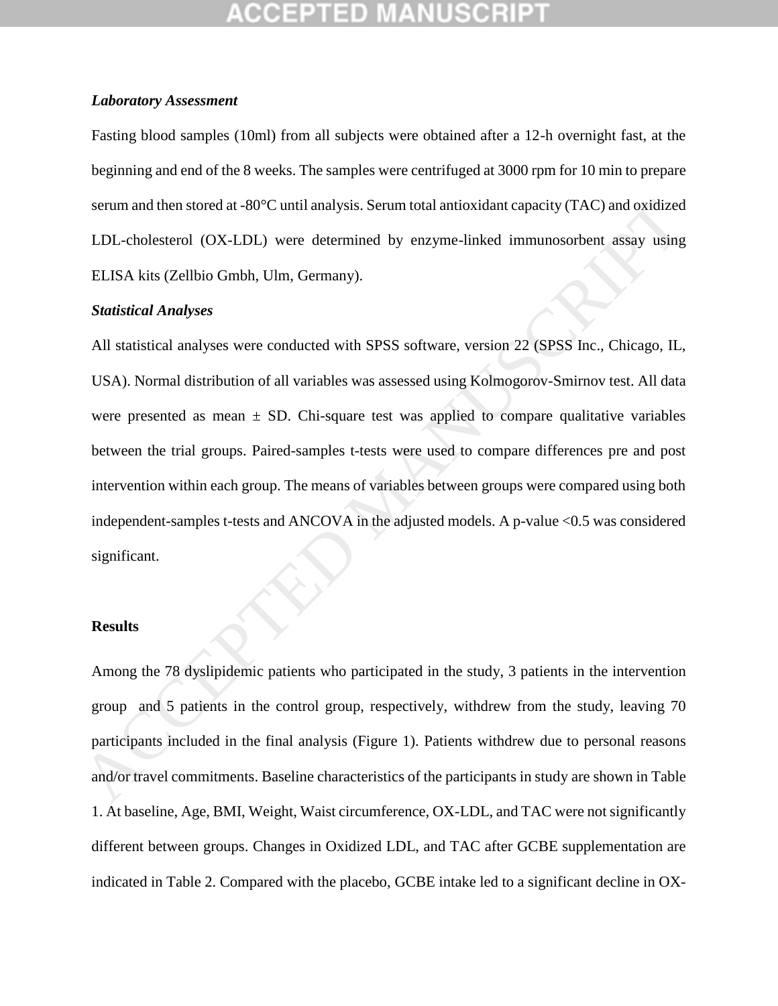### *Laboratory Assessment*

Fasting blood samples (10ml) from all subjects were obtained after a 12-h overnight fast, at the beginning and end of the 8 weeks. The samples were centrifuged at 3000 rpm for 10 min to prepare serum and then stored at -80°C until analysis. Serum total antioxidant capacity (TAC) and oxidized LDL-cholesterol (OX-LDL) were determined by enzyme-linked immunosorbent assay using ELISA kits (Zellbio Gmbh, Ulm, Germany).

### *Statistical Analyses*

All statistical analyses were conducted with SPSS software, version 22 (SPSS Inc., Chicago, IL, USA). Normal distribution of all variables was assessed using Kolmogorov-Smirnov test. All data were presented as mean  $\pm$  SD. Chi-square test was applied to compare qualitative variables between the trial groups. Paired-samples t-tests were used to compare differences pre and post intervention within each group. The means of variables between groups were compared using both independent-samples t-tests and ANCOVA in the adjusted models. A p-value <0.5 was considered significant. serum and then stored at -80°C until analysis. Serum total antioxidant capacity (TAC) and oxidized<br>
LDL-cholessterol (OX-LDL) were determined by enzyme-linked immunosorbent assay using<br>
ELISA kits (Zellbio Gmbh, Ulm. Germa

#### **Results**

Among the 78 dyslipidemic patients who participated in the study, 3 patients in the intervention group and 5 patients in the control group, respectively, withdrew from the study, leaving 70 participants included in the final analysis (Figure 1). Patients withdrew due to personal reasons and/or travel commitments. Baseline characteristics of the participants in study are shown in Table 1. At baseline, Age, BMI, Weight, Waist circumference, OX-LDL, and TAC were not significantly different between groups. Changes in Oxidized LDL, and TAC after GCBE supplementation are indicated in Table 2. Compared with the placebo, GCBE intake led to a significant decline in OX-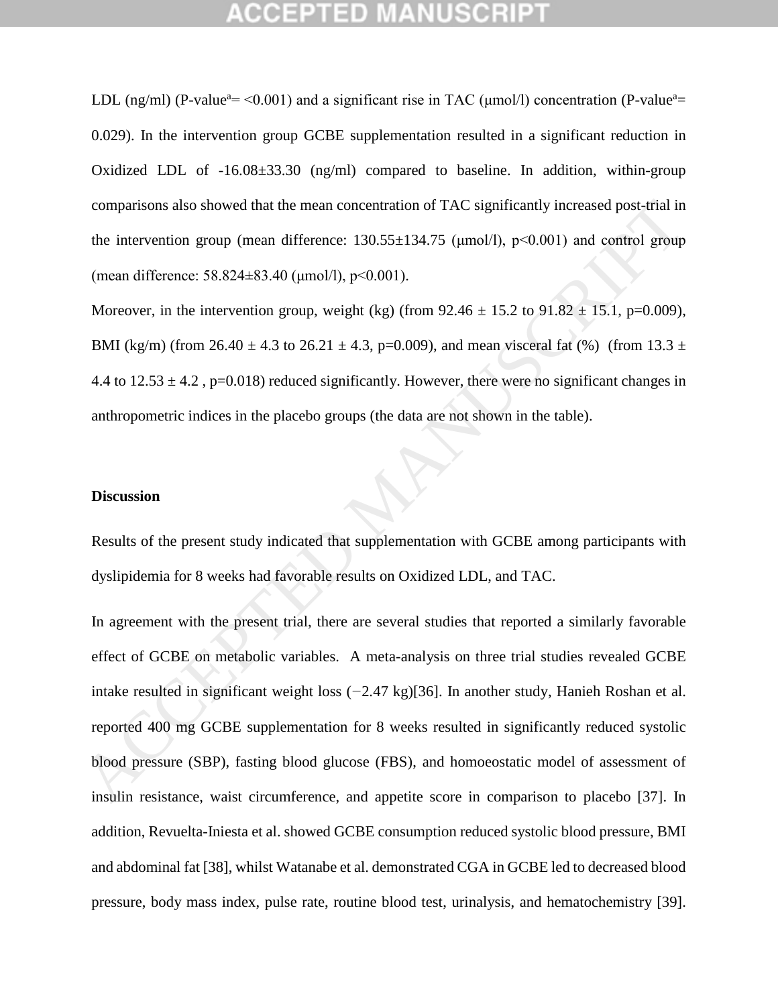LDL (ng/ml) (P-value<sup>a</sup>=  $\leq 0.001$ ) and a significant rise in TAC (umol/l) concentration (P-value<sup>a</sup>= 0.029). In the intervention group GCBE supplementation resulted in a significant reduction in Oxidized LDL of  $-16.08\pm33.30$  (ng/ml) compared to baseline. In addition, within-group comparisons also showed that the mean concentration of TAC significantly increased post-trial in the intervention group (mean difference:  $130.55 \pm 134.75$  ( $\mu$ mol/l),  $p < 0.001$ ) and control group (mean difference: 58.824±83.40 (μmol/l), p˂0.001).

Moreover, in the intervention group, weight (kg) (from  $92.46 \pm 15.2$  to  $91.82 \pm 15.1$ , p=0.009), BMI (kg/m) (from 26.40  $\pm$  4.3 to 26.21  $\pm$  4.3, p=0.009), and mean visceral fat (%) (from 13.3  $\pm$ 4.4 to  $12.53 \pm 4.2$ , p=0.018) reduced significantly. However, there were no significant changes in anthropometric indices in the placebo groups (the data are not shown in the table).

### **Discussion**

Results of the present study indicated that supplementation with GCBE among participants with dyslipidemia for 8 weeks had favorable results on Oxidized LDL, and TAC.

In agreement with the present trial, there are several studies that reported a similarly favorable effect of GCBE on metabolic variables. A meta-analysis on three trial studies revealed GCBE intake resulted in significant weight loss (*−*2*.*47 kg)[36]. In another study, Hanieh Roshan et al. reported 400 mg GCBE supplementation for 8 weeks resulted in significantly reduced systolic blood pressure (SBP), fasting blood glucose (FBS), and homoeostatic model of assessment of insulin resistance, waist circumference, and appetite score in comparison to placebo [37]. In addition, Revuelta-Iniesta et al. showed GCBE consumption reduced systolic blood pressure, BMI and abdominal fat [38], whilst Watanabe et al. demonstrated CGA in GCBE led to decreased blood pressure, body mass index, pulse rate, routine blood test, urinalysis, and hematochemistry [39]. comparisons also showed that the mean concentration of TAC significantly increased post-trial in<br>the intervention group (mean difference: 130.55±134.75 (µmol/l), p<0.001) and control group<br>(mean difference: 58.824±83.40 (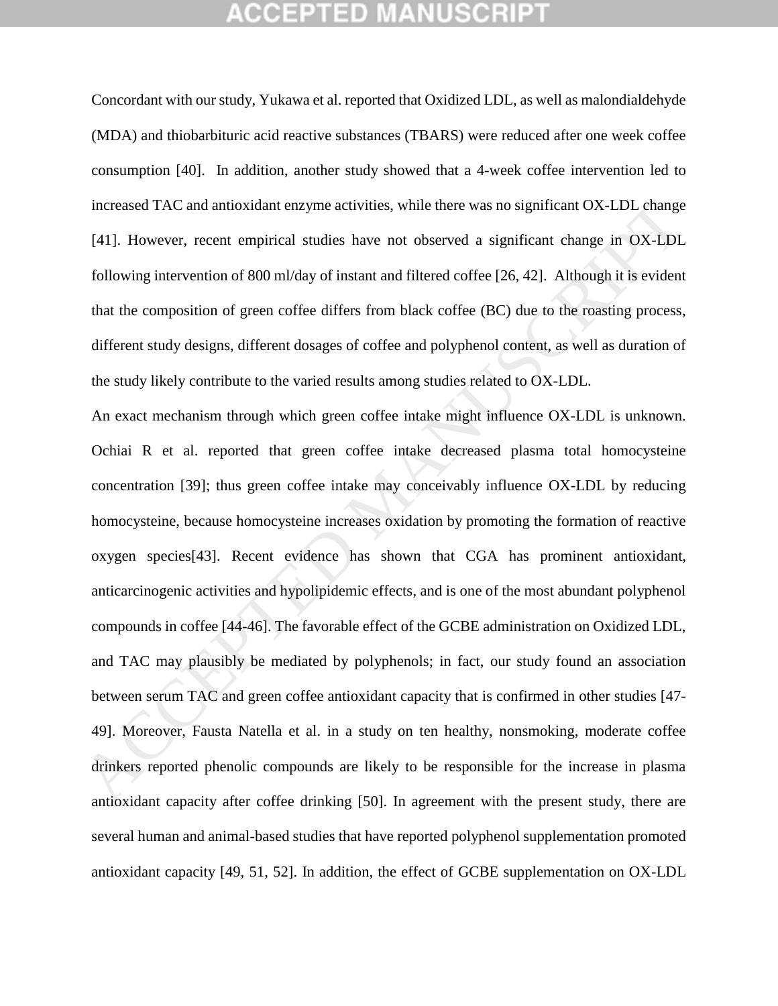## GEPTED

Concordant with our study, Yukawa et al. reported that Oxidized LDL, as well as malondialdehyde (MDA) and thiobarbituric acid reactive substances (TBARS) were reduced after one week coffee consumption [40]. In addition, another study showed that a 4-week coffee intervention led to increased TAC and antioxidant enzyme activities, while there was no significant OX-LDL change [41]. However, recent empirical studies have not observed a significant change in OX-LDL following intervention of 800 ml/day of instant and filtered coffee [26, 42]. Although it is evident that the composition of green coffee differs from black coffee (BC) due to the roasting process, different study designs, different dosages of coffee and polyphenol content, as well as duration of the study likely contribute to the varied results among studies related to OX-LDL.

An exact mechanism through which green coffee intake might influence OX-LDL is unknown. Ochiai R et al. reported that green coffee intake decreased plasma total homocysteine concentration [39]; thus green coffee intake may conceivably influence OX-LDL by reducing homocysteine, because homocysteine increases oxidation by promoting the formation of reactive oxygen species[43]. Recent evidence has shown that CGA has prominent antioxidant, anticarcinogenic activities and hypolipidemic effects, and is one of the most abundant polyphenol compounds in coffee [44-46]. The favorable effect of the GCBE administration on Oxidized LDL, and TAC may plausibly be mediated by polyphenols; in fact, our study found an association between serum TAC and green coffee antioxidant capacity that is confirmed in other studies [47- 49]. Moreover, Fausta Natella et al. in a study on ten healthy, nonsmoking, moderate coffee drinkers reported phenolic compounds are likely to be responsible for the increase in plasma antioxidant capacity after coffee drinking [50]. In agreement with the present study, there are several human and animal-based studies that have reported polyphenol supplementation promoted antioxidant capacity [49, 51, 52]. In addition, the effect of GCBE supplementation on OX-LDL increased TAC and antioxidant enzyme activities, while there was no significant OX-LDL change<br>
[41]. However, recent empirical studies have not observed a significant change in OX-LDL<br>
following intervention of 800 ml/day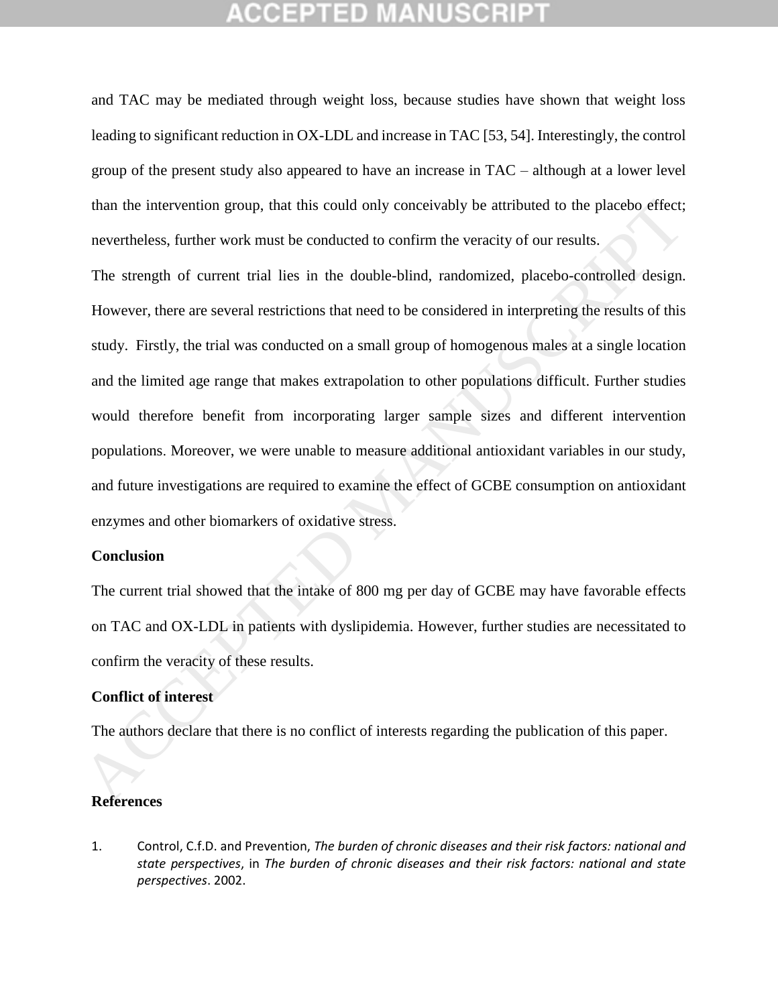and TAC may be mediated through weight loss, because studies have shown that weight loss leading to significant reduction in OX-LDL and increase in TAC [53, 54]. Interestingly, the control group of the present study also appeared to have an increase in TAC – although at a lower level than the intervention group, that this could only conceivably be attributed to the placebo effect; nevertheless, further work must be conducted to confirm the veracity of our results.

The strength of current trial lies in the double-blind, randomized, placebo-controlled design. However, there are several restrictions that need to be considered in interpreting the results of this study. Firstly, the trial was conducted on a small group of homogenous males at a single location and the limited age range that makes extrapolation to other populations difficult. Further studies would therefore benefit from incorporating larger sample sizes and different intervention populations. Moreover, we were unable to measure additional antioxidant variables in our study, and future investigations are required to examine the effect of GCBE consumption on antioxidant enzymes and other biomarkers of oxidative stress. than the intervention group, that this could only conceivably be attributed to the placebo effect;<br>nevertheless, further work must be conducted to confirm the vertexity of our results.<br>The strength of current trial lies in

### **Conclusion**

The current trial showed that the intake of 800 mg per day of GCBE may have favorable effects on TAC and OX-LDL in patients with dyslipidemia. However, further studies are necessitated to confirm the veracity of these results.

## **Conflict of interest**

The authors declare that there is no conflict of interests regarding the publication of this paper.

#### **References**

1. Control, C.f.D. and Prevention, *The burden of chronic diseases and their risk factors: national and state perspectives*, in *The burden of chronic diseases and their risk factors: national and state perspectives*. 2002.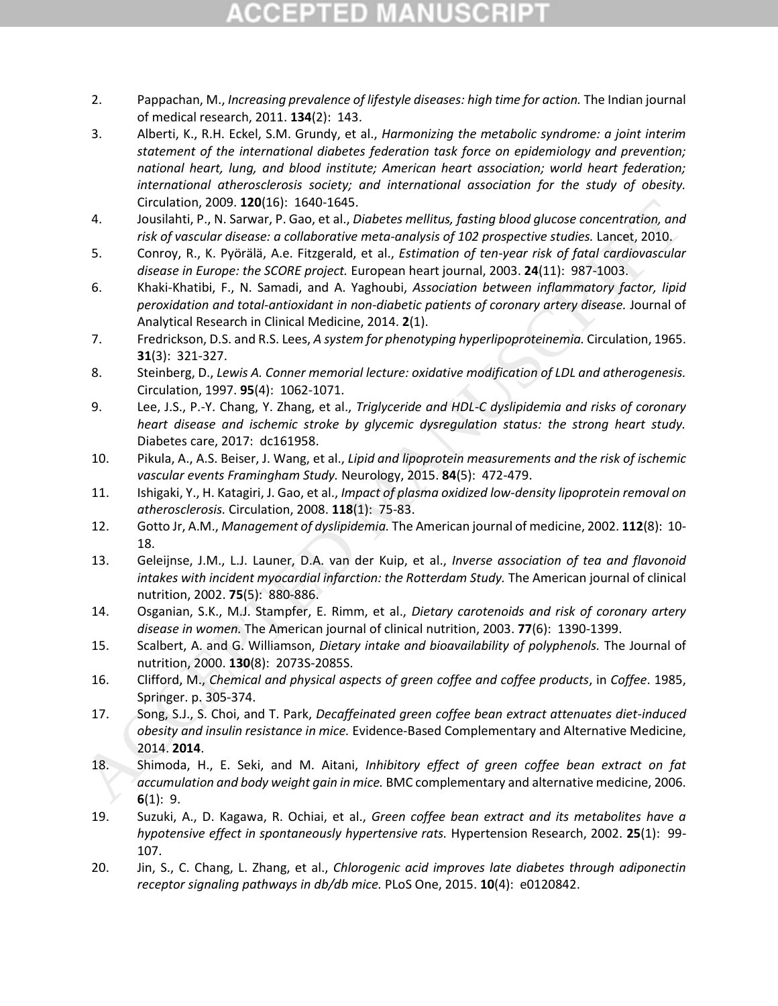# COEPTED

- 2. Pappachan, M., *Increasing prevalence of lifestyle diseases: high time for action.* The Indian journal of medical research, 2011. **134**(2): 143.
- 3. Alberti, K., R.H. Eckel, S.M. Grundy, et al., *Harmonizing the metabolic syndrome: a joint interim statement of the international diabetes federation task force on epidemiology and prevention; national heart, lung, and blood institute; American heart association; world heart federation; international atherosclerosis society; and international association for the study of obesity.* Circulation, 2009. **120**(16): 1640-1645.
- 4. Jousilahti, P., N. Sarwar, P. Gao, et al., *Diabetes mellitus, fasting blood glucose concentration, and risk of vascular disease: a collaborative meta-analysis of 102 prospective studies.* Lancet, 2010.
- 5. Conroy, R., K. Pyörälä, A.e. Fitzgerald, et al., *Estimation of ten-year risk of fatal cardiovascular disease in Europe: the SCORE project.* European heart journal, 2003. **24**(11): 987-1003.
- 6. Khaki-Khatibi, F., N. Samadi, and A. Yaghoubi, *Association between inflammatory factor, lipid peroxidation and total-antioxidant in non-diabetic patients of coronary artery disease.* Journal of Analytical Research in Clinical Medicine, 2014. **2**(1). Circulation, 2003. 120(16): 1640-1645.<br>
1640-1645. 1000-1645. 1640-1645. In the book of vacator and the condition of the properties the control of the control of the control of the control of the control of the control of
	- 7. Fredrickson, D.S. and R.S. Lees, *A system for phenotyping hyperlipoproteinemia.* Circulation, 1965. **31**(3): 321-327.
	- 8. Steinberg, D., *Lewis A. Conner memorial lecture: oxidative modification of LDL and atherogenesis.* Circulation, 1997. **95**(4): 1062-1071.
	- 9. Lee, J.S., P.-Y. Chang, Y. Zhang, et al., *Triglyceride and HDL-C dyslipidemia and risks of coronary heart disease and ischemic stroke by glycemic dysregulation status: the strong heart study.* Diabetes care, 2017: dc161958.
	- 10. Pikula, A., A.S. Beiser, J. Wang, et al., *Lipid and lipoprotein measurements and the risk of ischemic vascular events Framingham Study.* Neurology, 2015. **84**(5): 472-479.
	- 11. Ishigaki, Y., H. Katagiri, J. Gao, et al., *Impact of plasma oxidized low-density lipoprotein removal on atherosclerosis.* Circulation, 2008. **118**(1): 75-83.
	- 12. Gotto Jr, A.M., *Management of dyslipidemia.* The American journal of medicine, 2002. **112**(8): 10- 18.
	- 13. Geleijnse, J.M., L.J. Launer, D.A. van der Kuip, et al., *Inverse association of tea and flavonoid intakes with incident myocardial infarction: the Rotterdam Study.* The American journal of clinical nutrition, 2002. **75**(5): 880-886.
	- 14. Osganian, S.K., M.J. Stampfer, E. Rimm, et al., *Dietary carotenoids and risk of coronary artery disease in women.* The American journal of clinical nutrition, 2003. **77**(6): 1390-1399.
	- 15. Scalbert, A. and G. Williamson, *Dietary intake and bioavailability of polyphenols.* The Journal of nutrition, 2000. **130**(8): 2073S-2085S.
	- 16. Clifford, M., *Chemical and physical aspects of green coffee and coffee products*, in *Coffee*. 1985, Springer. p. 305-374.
	- 17. Song, S.J., S. Choi, and T. Park, *Decaffeinated green coffee bean extract attenuates diet-induced obesity and insulin resistance in mice.* Evidence-Based Complementary and Alternative Medicine, 2014. **2014**.
	- 18. Shimoda, H., E. Seki, and M. Aitani, *Inhibitory effect of green coffee bean extract on fat accumulation and body weight gain in mice.* BMC complementary and alternative medicine, 2006. **6**(1): 9.
	- 19. Suzuki, A., D. Kagawa, R. Ochiai, et al., *Green coffee bean extract and its metabolites have a hypotensive effect in spontaneously hypertensive rats.* Hypertension Research, 2002. **25**(1): 99- 107.
	- 20. Jin, S., C. Chang, L. Zhang, et al., *Chlorogenic acid improves late diabetes through adiponectin receptor signaling pathways in db/db mice.* PLoS One, 2015. **10**(4): e0120842.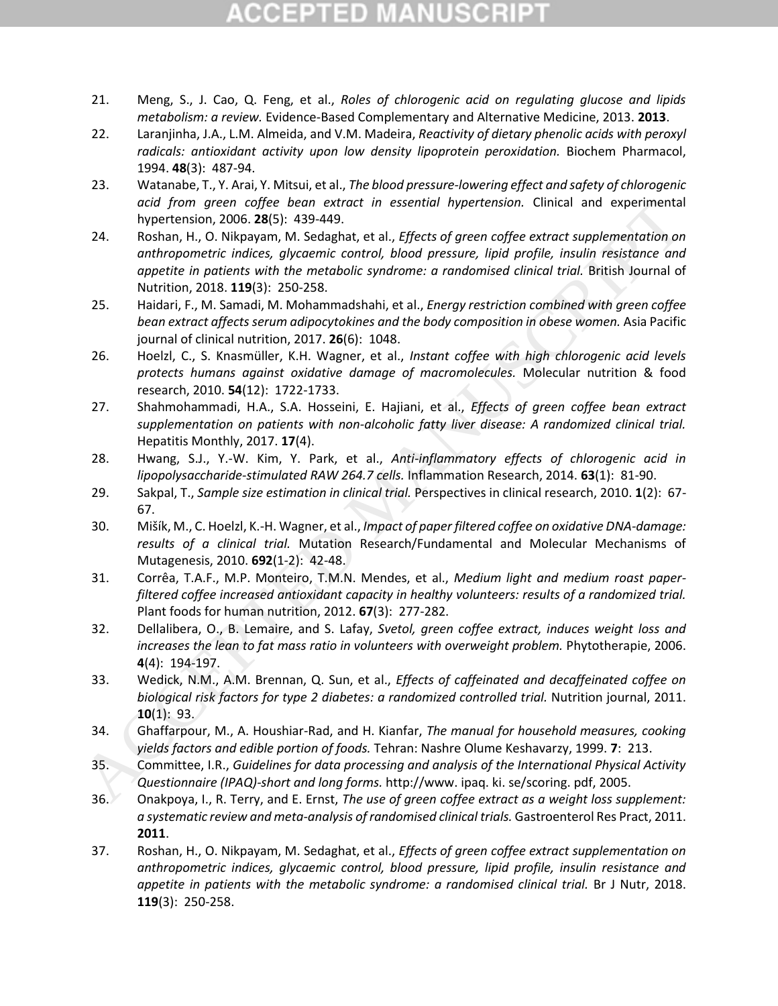# **CCEPTED MANUSCR**

- 21. Meng, S., J. Cao, Q. Feng, et al., *Roles of chlorogenic acid on regulating glucose and lipids metabolism: a review.* Evidence-Based Complementary and Alternative Medicine, 2013. **2013**.
- 22. Laranjinha, J.A., L.M. Almeida, and V.M. Madeira, *Reactivity of dietary phenolic acids with peroxyl radicals: antioxidant activity upon low density lipoprotein peroxidation.* Biochem Pharmacol, 1994. **48**(3): 487-94.
- 23. Watanabe, T., Y. Arai, Y. Mitsui, et al., *The blood pressure-lowering effect and safety of chlorogenic acid from green coffee bean extract in essential hypertension.* Clinical and experimental hypertension, 2006. **28**(5): 439-449.
- 24. Roshan, H., O. Nikpayam, M. Sedaghat, et al., *Effects of green coffee extract supplementation on anthropometric indices, glycaemic control, blood pressure, lipid profile, insulin resistance and appetite in patients with the metabolic syndrome: a randomised clinical trial.* British Journal of Nutrition, 2018. **119**(3): 250-258. orid (Iron (pree learn between the search) ingertension. Clinical and experimental<br>
20. Roshan, H., O. Nikapan, M. Sedaghat, et al., Effects of green coffee extract supplementation on<br>
21. The final model is positive the m
	- 25. Haidari, F., M. Samadi, M. Mohammadshahi, et al., *Energy restriction combined with green coffee bean extract affects serum adipocytokines and the body composition in obese women.* Asia Pacific journal of clinical nutrition, 2017. **26**(6): 1048.
	- 26. Hoelzl, C., S. Knasmüller, K.H. Wagner, et al., *Instant coffee with high chlorogenic acid levels protects humans against oxidative damage of macromolecules.* Molecular nutrition & food research, 2010. **54**(12): 1722-1733.
	- 27. Shahmohammadi, H.A., S.A. Hosseini, E. Hajiani, et al., *Effects of green coffee bean extract supplementation on patients with non-alcoholic fatty liver disease: A randomized clinical trial.* Hepatitis Monthly, 2017. **17**(4).
	- 28. Hwang, S.J., Y.-W. Kim, Y. Park, et al., *Anti-inflammatory effects of chlorogenic acid in lipopolysaccharide-stimulated RAW 264.7 cells.* Inflammation Research, 2014. **63**(1): 81-90.
	- 29. Sakpal, T., *Sample size estimation in clinical trial.* Perspectives in clinical research, 2010. **1**(2): 67- 67.
	- 30. Mišík, M., C. Hoelzl, K.-H. Wagner, et al., *Impact of paper filtered coffee on oxidative DNA-damage: results of a clinical trial.* Mutation Research/Fundamental and Molecular Mechanisms of Mutagenesis, 2010. **692**(1-2): 42-48.
	- 31. Corrêa, T.A.F., M.P. Monteiro, T.M.N. Mendes, et al., *Medium light and medium roast paperfiltered coffee increased antioxidant capacity in healthy volunteers: results of a randomized trial.* Plant foods for human nutrition, 2012. **67**(3): 277-282.
	- 32. Dellalibera, O., B. Lemaire, and S. Lafay, *Svetol, green coffee extract, induces weight loss and increases the lean to fat mass ratio in volunteers with overweight problem.* Phytotherapie, 2006. **4**(4): 194-197.
	- 33. Wedick, N.M., A.M. Brennan, Q. Sun, et al., *Effects of caffeinated and decaffeinated coffee on biological risk factors for type 2 diabetes: a randomized controlled trial.* Nutrition journal, 2011. **10**(1): 93.
	- 34. Ghaffarpour, M., A. Houshiar-Rad, and H. Kianfar, *The manual for household measures, cooking yields factors and edible portion of foods.* Tehran: Nashre Olume Keshavarzy, 1999. **7**: 213.
	- 35. Committee, I.R., *Guidelines for data processing and analysis of the International Physical Activity Questionnaire (IPAQ)-short and long forms.* http://www. ipaq. ki. se/scoring. pdf, 2005.
	- 36. Onakpoya, I., R. Terry, and E. Ernst, *The use of green coffee extract as a weight loss supplement: a systematic review and meta-analysis of randomised clinical trials.* Gastroenterol Res Pract, 2011. **2011**.
	- 37. Roshan, H., O. Nikpayam, M. Sedaghat, et al., *Effects of green coffee extract supplementation on anthropometric indices, glycaemic control, blood pressure, lipid profile, insulin resistance and appetite in patients with the metabolic syndrome: a randomised clinical trial.* Br J Nutr, 2018. **119**(3): 250-258.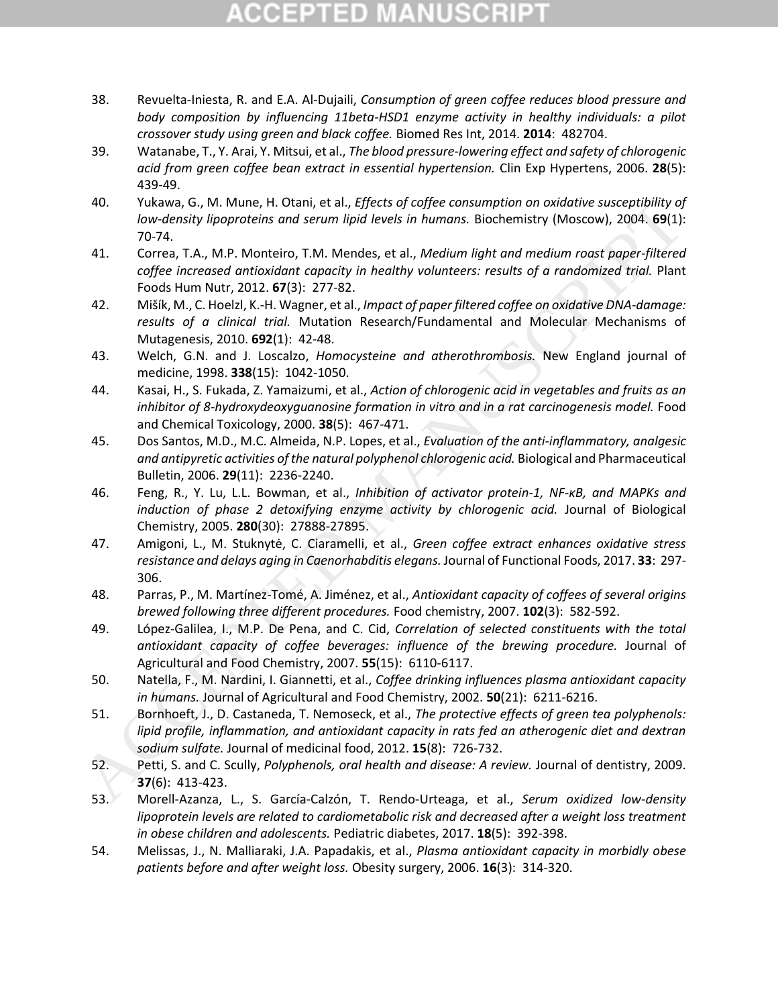# COEPTED

- 38. Revuelta-Iniesta, R. and E.A. Al-Dujaili, *Consumption of green coffee reduces blood pressure and body composition by influencing 11beta-HSD1 enzyme activity in healthy individuals: a pilot crossover study using green and black coffee.* Biomed Res Int, 2014. **2014**: 482704.
- 39. Watanabe, T., Y. Arai, Y. Mitsui, et al., *The blood pressure-lowering effect and safety of chlorogenic acid from green coffee bean extract in essential hypertension.* Clin Exp Hypertens, 2006. **28**(5): 439-49.
- 40. Yukawa, G., M. Mune, H. Otani, et al., *Effects of coffee consumption on oxidative susceptibility of low-density lipoproteins and serum lipid levels in humans.* Biochemistry (Moscow), 2004. **69**(1): 70-74.
- 41. Correa, T.A., M.P. Monteiro, T.M. Mendes, et al., *Medium light and medium roast paper-filtered coffee increased antioxidant capacity in healthy volunteers: results of a randomized trial.* Plant Foods Hum Nutr, 2012. **67**(3): 277-82.
- 42. Mišík, M., C. Hoelzl, K.-H. Wagner, et al., *Impact of paper filtered coffee on oxidative DNA-damage: results of a clinical trial.* Mutation Research/Fundamental and Molecular Mechanisms of Mutagenesis, 2010. **692**(1): 42-48.
- 43. Welch, G.N. and J. Loscalzo, *Homocysteine and atherothrombosis.* New England journal of medicine, 1998. **338**(15): 1042-1050.
- 44. Kasai, H., S. Fukada, Z. Yamaizumi, et al., *Action of chlorogenic acid in vegetables and fruits as an inhibitor of 8-hydroxydeoxyguanosine formation in vitro and in a rat carcinogenesis model.* Food and Chemical Toxicology, 2000. **38**(5): 467-471.
- 45. Dos Santos, M.D., M.C. Almeida, N.P. Lopes, et al., *Evaluation of the anti-inflammatory, analgesic and antipyretic activities of the natural polyphenol chlorogenic acid.* Biological and Pharmaceutical Bulletin, 2006. **29**(11): 2236-2240.
- 46. Feng, R., Y. Lu, L.L. Bowman, et al., *Inhibition of activator protein-1, NF-κB, and MAPKs and induction of phase 2 detoxifying enzyme activity by chlorogenic acid.* Journal of Biological Chemistry, 2005. **280**(30): 27888-27895.
- 47. Amigoni, L., M. Stuknytė, C. Ciaramelli, et al., *Green coffee extract enhances oxidative stress resistance and delays aging in Caenorhabditis elegans.* Journal of Functional Foods, 2017. **33**: 297- 306.
- 48. Parras, P., M. Martínez-Tomé, A. Jiménez, et al., *Antioxidant capacity of coffees of several origins brewed following three different procedures.* Food chemistry, 2007. **102**(3): 582-592.
- 49. López-Galilea, I., M.P. De Pena, and C. Cid, *Correlation of selected constituents with the total antioxidant capacity of coffee beverages: influence of the brewing procedure.* Journal of Agricultural and Food Chemistry, 2007. **55**(15): 6110-6117. 40.<br>
Virkume, 6., M. Munne, H. Glani, et al. Jeffelse of reality (Moscow), 1004 density (Moscow), 2004, 89(1):<br>
100 wedersity lipoproteins and serum lipid levels in humans. Biochemistix (Moscow), 2004, 89(1):<br>
10.07 Text.,
	- 50. Natella, F., M. Nardini, I. Giannetti, et al., *Coffee drinking influences plasma antioxidant capacity in humans.* Journal of Agricultural and Food Chemistry, 2002. **50**(21): 6211-6216.
	- 51. Bornhoeft, J., D. Castaneda, T. Nemoseck, et al., *The protective effects of green tea polyphenols: lipid profile, inflammation, and antioxidant capacity in rats fed an atherogenic diet and dextran sodium sulfate.* Journal of medicinal food, 2012. **15**(8): 726-732.
	- 52. Petti, S. and C. Scully, *Polyphenols, oral health and disease: A review.* Journal of dentistry, 2009. **37**(6): 413-423.
	- 53. Morell‐Azanza, L., S. García‐Calzón, T. Rendo‐Urteaga, et al., *Serum oxidized low‐density lipoprotein levels are related to cardiometabolic risk and decreased after a weight loss treatment in obese children and adolescents.* Pediatric diabetes, 2017. **18**(5): 392-398.
	- 54. Melissas, J., N. Malliaraki, J.A. Papadakis, et al., *Plasma antioxidant capacity in morbidly obese patients before and after weight loss.* Obesity surgery, 2006. **16**(3): 314-320.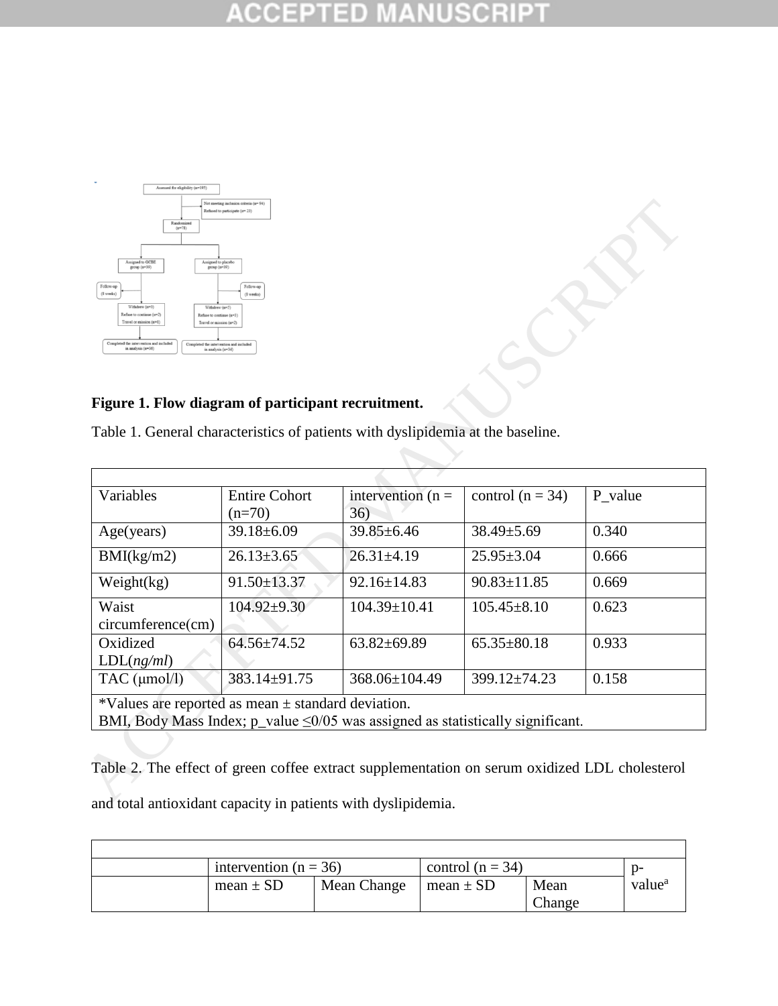#### **CCEPTED NUSCRIP1** 生 IM A



## **Figure 1. Flow diagram of participant recruitment.**

| Assigned to GCBE<br>Assigned to placeb<br>group (n=39)<br>group (n=39)<br>Follow-up                                                                      | Follow-us                       |                                                                                      |                    |         |
|----------------------------------------------------------------------------------------------------------------------------------------------------------|---------------------------------|--------------------------------------------------------------------------------------|--------------------|---------|
| (8 weeks)<br>Withdrew (n=3)<br>Refuse to continue (n=2)<br>Refuse to continue (n=3)                                                                      | $(8$ weeks)                     |                                                                                      |                    |         |
| Travel or mission (n=1)<br>Travel or mission (n=2)<br>ted the intervention and include                                                                   | ed the intervention and include |                                                                                      |                    |         |
| in analysis (n=36)<br>in analysis (n=34)                                                                                                                 |                                 |                                                                                      |                    |         |
|                                                                                                                                                          |                                 |                                                                                      |                    |         |
| Figure 1. Flow diagram of participant recruitment.                                                                                                       |                                 |                                                                                      |                    |         |
|                                                                                                                                                          |                                 | Table 1. General characteristics of patients with dyslipidemia at the baseline.      |                    |         |
|                                                                                                                                                          |                                 |                                                                                      |                    |         |
|                                                                                                                                                          |                                 |                                                                                      |                    |         |
| Variables                                                                                                                                                | <b>Entire Cohort</b>            | intervention $(n =$                                                                  | control $(n = 34)$ | P_value |
|                                                                                                                                                          | $(n=70)$                        | 36)                                                                                  |                    |         |
|                                                                                                                                                          |                                 |                                                                                      |                    |         |
|                                                                                                                                                          | $39.18 \pm 6.09$                | $39.85 \pm 6.46$                                                                     | 38.49±5.69         | 0.340   |
| Age(years)<br>BMI(kg/m2)                                                                                                                                 | $26.13 \pm 3.65$                | $26.31 \pm 4.19$                                                                     | $25.95 \pm 3.04$   | 0.666   |
|                                                                                                                                                          | 91.50±13.37                     | $92.16 \pm 14.83$                                                                    | $90.83 \pm 11.85$  | 0.669   |
|                                                                                                                                                          | $104.92 \pm 9.30$               | $104.39 \pm 10.41$                                                                   | $105.45 \pm 8.10$  | 0.623   |
|                                                                                                                                                          |                                 |                                                                                      |                    |         |
|                                                                                                                                                          | 64.56±74.52                     | $63.82{\pm}69.89$                                                                    | $65.35 \pm 80.18$  | 0.933   |
|                                                                                                                                                          |                                 |                                                                                      |                    |         |
|                                                                                                                                                          | 383.14±91.75                    | 368.06±104.49                                                                        | 399.12±74.23       | 0.158   |
| Weight(kg)<br>Waist<br>circumference(cm)<br>Oxidized<br>LDL(ng/ml)<br>TAC $(\mu \text{mol/l})$<br>*Values are reported as mean $\pm$ standard deviation. |                                 | BMI, Body Mass Index; $p_value \leq 0/05$ was assigned as statistically significant. |                    |         |

Table 2. The effect of green coffee extract supplementation on serum oxidized LDL cholesterol and total antioxidant capacity in patients with dyslipidemia.

| intervention ( $n = 36$ ) |             | control $(n = 34)$ |                | $n-$               |
|---------------------------|-------------|--------------------|----------------|--------------------|
| mean $\pm$ SD             | Mean Change | mean $\pm$ SD      | Mean<br>Change | value <sup>a</sup> |